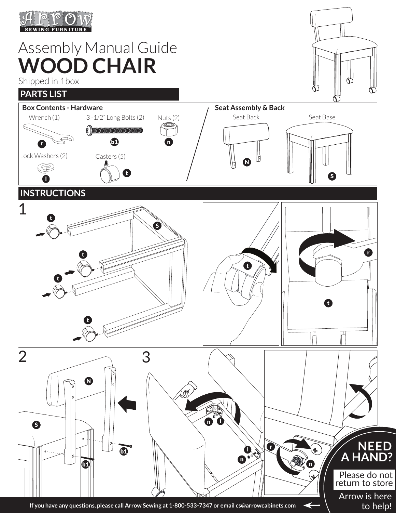